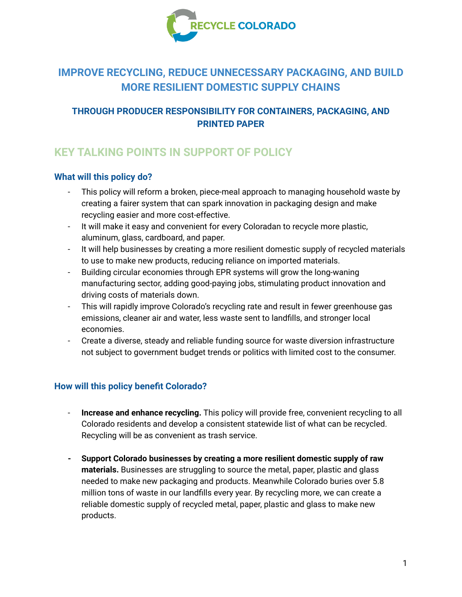

# **IMPROVE RECYCLING, REDUCE UNNECESSARY PACKAGING, AND BUILD MORE RESILIENT DOMESTIC SUPPLY CHAINS**

## **THROUGH PRODUCER RESPONSIBILITY FOR CONTAINERS, PACKAGING, AND PRINTED PAPER**

# **KEY TALKING POINTS IN SUPPORT OF POLICY**

### **What will this policy do?**

- This policy will reform a broken, piece-meal approach to managing household waste by creating a fairer system that can spark innovation in packaging design and make recycling easier and more cost-effective.
- It will make it easy and convenient for every Coloradan to recycle more plastic, aluminum, glass, cardboard, and paper.
- It will help businesses by creating a more resilient domestic supply of recycled materials to use to make new products, reducing reliance on imported materials.
- Building circular economies through EPR systems will grow the long-waning manufacturing sector, adding good-paying jobs, stimulating product innovation and driving costs of materials down.
- This will rapidly improve Colorado's recycling rate and result in fewer greenhouse gas emissions, cleaner air and water, less waste sent to landfills, and stronger local economies.
- Create a diverse, steady and reliable funding source for waste diversion infrastructure not subject to government budget trends or politics with limited cost to the consumer.

#### **How will this policy benefit Colorado?**

- **Increase and enhance recycling.** This policy will provide free, convenient recycling to all Colorado residents and develop a consistent statewide list of what can be recycled. Recycling will be as convenient as trash service.
- **- Support Colorado businesses by creating a more resilient domestic supply of raw materials.** Businesses are struggling to source the metal, paper, plastic and glass needed to make new packaging and products. Meanwhile Colorado buries over 5.8 million tons of waste in our landfills every year. By recycling more, we can create a reliable domestic supply of recycled metal, paper, plastic and glass to make new products.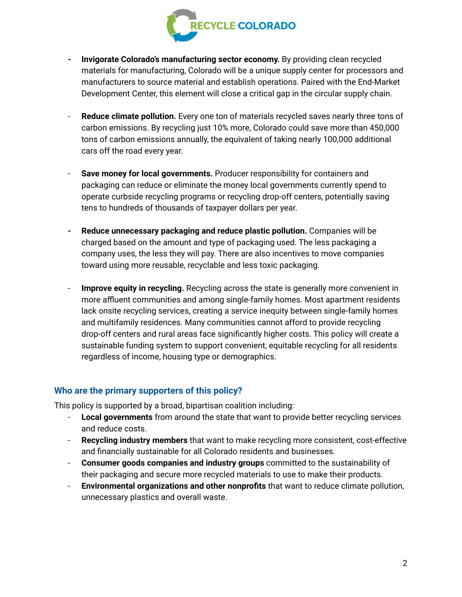

- **- Invigorate Colorado's manufacturing sector economy.** By providing clean recycled materials for manufacturing, Colorado will be a unique supply center for processors and manufacturers to source material and establish operations. Paired with the End-Market Development Center, this element will close a critical gap in the circular supply chain.
- **Reduce climate pollution.** Every one ton of materials recycled saves nearly three tons of carbon emissions. By recycling just 10% more, Colorado could save more than 450,000 tons of carbon emissions annually, the equivalent of taking nearly 100,000 additional cars off the road every year.
- **Save money for local governments.** Producer responsibility for containers and packaging can reduce or eliminate the money local governments currently spend to operate curbside recycling programs or recycling drop-off centers, potentially saving tens to hundreds of thousands of taxpayer dollars per year.
- **- Reduce unnecessary packaging and reduce plastic pollution.** Companies will be charged based on the amount and type of packaging used. The less packaging a company uses, the less they will pay. There are also incentives to move companies toward using more reusable, recyclable and less toxic packaging.
- **Improve equity in recycling.** Recycling across the state is generally more convenient in more affluent communities and among single-family homes. Most apartment residents lack onsite recycling services, creating a service inequity between single-family homes and multifamily residences. Many communities cannot afford to provide recycling drop-off centers and rural areas face significantly higher costs. This policy will create a sustainable funding system to support convenient, equitable recycling for all residents regardless of income, housing type or demographics.

#### **Who are the primary supporters of this policy?**

This policy is supported by a broad, bipartisan coalition including:

- **Local governments** from around the state that want to provide better recycling services and reduce costs.
- **Recycling industry members** that want to make recycling more consistent, cost-effective and financially sustainable for all Colorado residents and businesses.
- **Consumer goods companies and industry groups** committed to the sustainability of their packaging and secure more recycled materials to use to make their products.
- **Environmental organizations and other nonprofits** that want to reduce climate pollution, unnecessary plastics and overall waste.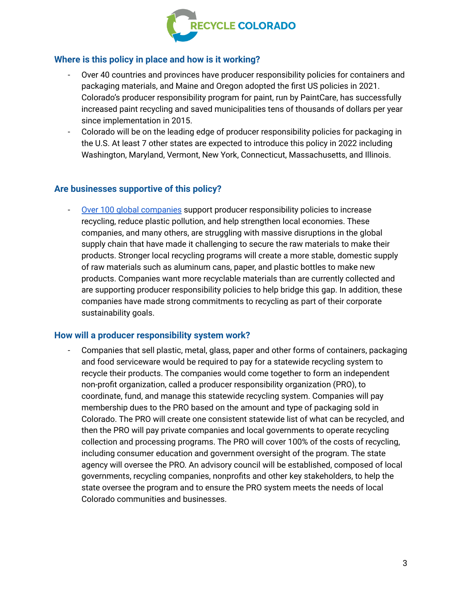

#### **Where is this policy in place and how is it working?**

- Over 40 countries and provinces have producer responsibility policies for containers and packaging materials, and Maine and Oregon adopted the first US policies in 2021. Colorado's producer responsibility program for paint, run by PaintCare, has successfully increased paint recycling and saved municipalities tens of thousands of dollars per year since implementation in 2015.
- Colorado will be on the leading edge of producer responsibility policies for packaging in the U.S. At least 7 other states are expected to introduce this policy in 2022 including Washington, Maryland, Vermont, New York, Connecticut, Massachusetts, and Illinois.

### **Are businesses supportive of this policy?**

Over 100 global [companies](https://plastics.ellenmacarthurfoundation.org/epr) support producer responsibility policies to increase recycling, reduce plastic pollution, and help strengthen local economies. These companies, and many others, are struggling with massive disruptions in the global supply chain that have made it challenging to secure the raw materials to make their products. Stronger local recycling programs will create a more stable, domestic supply of raw materials such as aluminum cans, paper, and plastic bottles to make new products. Companies want more recyclable materials than are currently collected and are supporting producer responsibility policies to help bridge this gap. In addition, these companies have made strong commitments to recycling as part of their corporate sustainability goals.

#### **How will a producer responsibility system work?**

- Companies that sell plastic, metal, glass, paper and other forms of containers, packaging and food serviceware would be required to pay for a statewide recycling system to recycle their products. The companies would come together to form an independent non-profit organization, called a producer responsibility organization (PRO), to coordinate, fund, and manage this statewide recycling system. Companies will pay membership dues to the PRO based on the amount and type of packaging sold in Colorado. The PRO will create one consistent statewide list of what can be recycled, and then the PRO will pay private companies and local governments to operate recycling collection and processing programs. The PRO will cover 100% of the costs of recycling, including consumer education and government oversight of the program. The state agency will oversee the PRO. An advisory council will be established, composed of local governments, recycling companies, nonprofits and other key stakeholders, to help the state oversee the program and to ensure the PRO system meets the needs of local Colorado communities and businesses.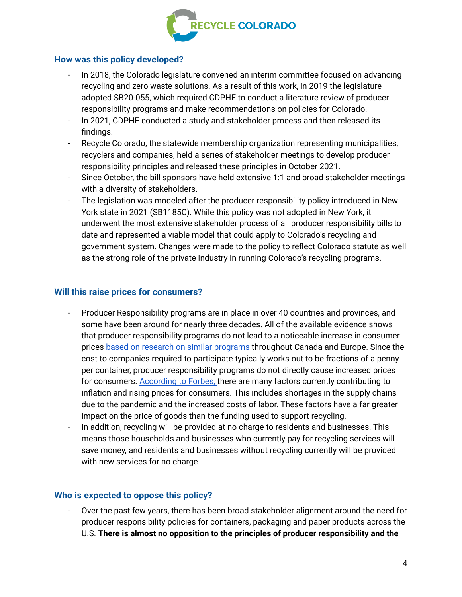

#### **How was this policy developed?**

- In 2018, the Colorado legislature convened an interim committee focused on advancing recycling and zero waste solutions. As a result of this work, in 2019 the legislature adopted SB20-055, which required CDPHE to conduct a literature review of producer responsibility programs and make recommendations on policies for Colorado.
- In 2021, CDPHE conducted a study and stakeholder process and then released its findings.
- Recycle Colorado, the statewide membership organization representing municipalities, recyclers and companies, held a series of stakeholder meetings to develop producer responsibility principles and released these principles in October 2021.
- Since October, the bill sponsors have held extensive 1:1 and broad stakeholder meetings with a diversity of stakeholders.
- The legislation was modeled after the producer responsibility policy introduced in New York state in 2021 (SB1185C). While this policy was not adopted in New York, it underwent the most extensive stakeholder process of all producer responsibility bills to date and represented a viable model that could apply to Colorado's recycling and government system. Changes were made to the policy to reflect Colorado statute as well as the strong role of the private industry in running Colorado's recycling programs.

#### **Will this raise prices for consumers?**

- Producer Responsibility programs are in place in over 40 countries and provinces, and some have been around for nearly three decades. All of the available evidence shows that producer responsibility programs do not lead to a noticeable increase in consumer prices based on research on similar [programs](https://www.oregon.gov/deq/recycling/Documents/rscRRSconsumer.pdf) throughout Canada and Europe. Since the cost to companies required to participate typically works out to be fractions of a penny per container, producer responsibility programs do not directly cause increased prices for consumers. [According](https://www.forbes.com/advisor/investing/why-is-inflation-rising-right-now/) to Forbes, there are many factors currently contributing to inflation and rising prices for consumers. This includes shortages in the supply chains due to the pandemic and the increased costs of labor. These factors have a far greater impact on the price of goods than the funding used to support recycling.
- In addition, recycling will be provided at no charge to residents and businesses. This means those households and businesses who currently pay for recycling services will save money, and residents and businesses without recycling currently will be provided with new services for no charge.

#### **Who is expected to oppose this policy?**

- Over the past few years, there has been broad stakeholder alignment around the need for producer responsibility policies for containers, packaging and paper products across the U.S. **There is almost no opposition to the principles of producer responsibility and the**